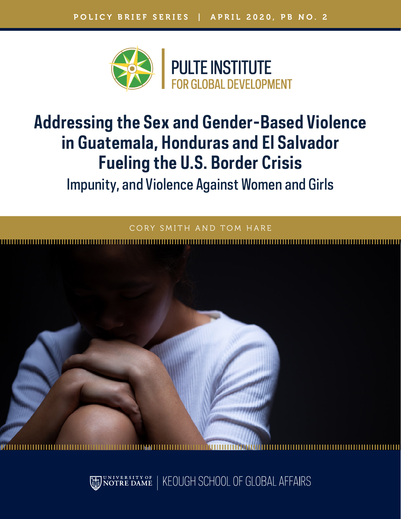

# **Addressing the Sex and Gender-Based Violence in Guatemala, Honduras and El Salvador Fueling the U.S. Border Crisis** Impunity, and Violence Against Women and Girls

SMITH AND TOM HARE



KEOUGH SCHOOL OF GLOBAL AFFAIRS rsity of<br>:E DAME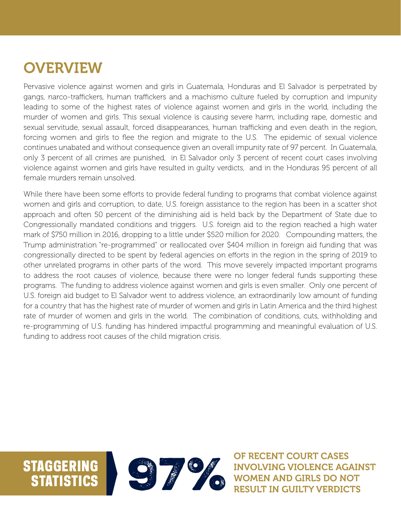## **OVERVIEW**

Pervasive violence against women and girls in Guatemala, Honduras and El Salvador is perpetrated by gangs, narco-traffickers, human traffickers and a machismo culture fueled by corruption and impunity leading to some of the highest rates of violence against women and girls in the world, including the murder of women and girls. This sexual violence is causing severe harm, including rape, domestic and sexual servitude, sexual assault, forced disappearances, human trafficking and even death in the region, forcing women and girls to flee the region and migrate to the U.S. The epidemic of sexual violence continues unabated and without consequence given an overall impunity rate of 97 percent. In Guatemala, only 3 percent of all crimes are punished, in El Salvador only 3 percent of recent court cases involving violence against women and girls have resulted in guilty verdicts, and in the Honduras 95 percent of all female murders remain unsolved.

While there have been some efforts to provide federal funding to programs that combat violence against women and girls and corruption, to date, U.S. foreign assistance to the region has been in a scatter shot approach and often 50 percent of the diminishing aid is held back by the Department of State due to Congressionally mandated conditions and triggers. U.S. foreign aid to the region reached a high water mark of \$750 million in 2016, dropping to a little under \$520 million for 2020. Compounding matters, the Trump administration "re-programmed" or reallocated over \$404 million in foreign aid funding that was congressionally directed to be spent by federal agencies on efforts in the region in the spring of 2019 to other unrelated programs in other parts of the word. This move severely impacted important programs to address the root causes of violence, because there were no longer federal funds supporting these programs. The funding to address violence against women and girls is even smaller. Only one percent of U.S. foreign aid budget to El Salvador went to address violence, an extraordinarily low amount of funding for a country that has the highest rate of murder of women and girls in Latin America and the third highest rate of murder of women and girls in the world. The combination of conditions, cuts, withholding and re-programming of U.S. funding has hindered impactful programming and meaningful evaluation of U.S. funding to address root causes of the child migration crisis.



OF RECENT COURT CASES<br>INVOLVING VIOLENCE AGAN<br>WOMEN AND GIRLS DO NO<br>RESULT IN GUILTY VERDIC INVOLVING VIOLENCE AGAINST WOMEN AND GIRLS DO NOT RESULT IN GUILTY VERDICTS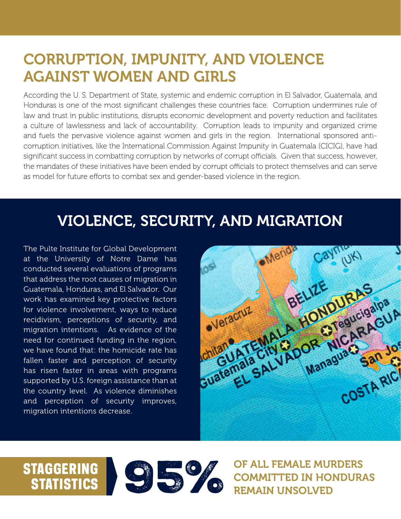## CORRUPTION, IMPUNITY, AND VIOLENCE AGAINST WOMEN AND GIRLS

According the U. S. Department of State, systemic and endemic corruption in El Salvador, Guatemala, and Honduras is one of the most significant challenges these countries face. Corruption undermines rule of law and trust in public institutions, disrupts economic development and poverty reduction and facilitates a culture of lawlessness and lack of accountability. Corruption leads to impunity and organized crime and fuels the pervasive violence against women and girls in the region. International sponsored anticorruption initiatives, like the International Commission Against Impunity in Guatemala (CICIG), have had significant success in combatting corruption by networks of corrupt officials. Given that success, however, the mandates of these initiatives have been ended by corrupt officials to protect themselves and can serve as model for future efforts to combat sex and gender-based violence in the region.

## VIOLENCE, SECURITY, AND MIGRATION

The Pulte Institute for Global Development at the University of Notre Dame has conducted several evaluations of programs that address the root causes of migration in Guatemala, Honduras, and El Salvador. Our work has examined key protective factors for violence involvement, ways to reduce recidivism, perceptions of security, and migration intentions. As evidence of the need for continued funding in the region, we have found that: the homicide rate has fallen faster and perception of security has risen faster in areas with programs supported by U.S. foreign assistance than at the country level. As violence diminishes and perception of security improves, migration intentions decrease.





COMMITTED IN HONDURAS REMAIN UNSOLVED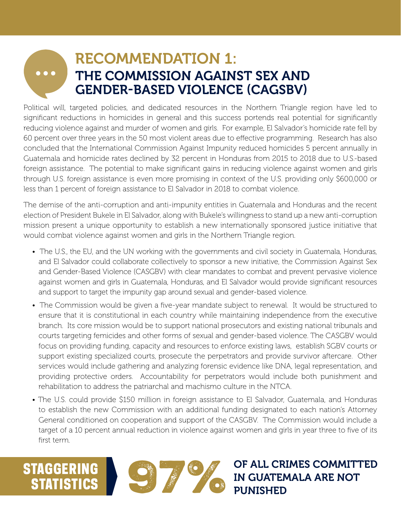### RECOMMENDATION 1:  $\bullet\bullet\bullet$ THE COMMISSION AGAINST SEX AND GENDER-BASED VIOLENCE (CAGSBV)

Political will, targeted policies, and dedicated resources in the Northern Triangle region have led to significant reductions in homicides in general and this success portends real potential for significantly reducing violence against and murder of women and girls. For example, El Salvador's homicide rate fell by 60 percent over three years in the 50 most violent areas due to effective programming. Research has also concluded that the International Commission Against Impunity reduced homicides 5 percent annually in Guatemala and homicide rates declined by 32 percent in Honduras from 2015 to 2018 due to U.S.-based foreign assistance. The potential to make significant gains in reducing violence against women and girls through U.S. foreign assistance is even more promising in context of the U.S. providing only \$600,000 or less than 1 percent of foreign assistance to El Salvador in 2018 to combat violence.

The demise of the anti-corruption and anti-impunity entities in Guatemala and Honduras and the recent election of President Bukele in El Salvador, along with Bukele's willingness to stand up a new anti-corruption mission present a unique opportunity to establish a new internationally sponsored justice initiative that would combat violence against women and girls in the Northern Triangle region.

- The U.S., the EU, and the UN working with the governments and civil society in Guatemala, Honduras, and El Salvador could collaborate collectively to sponsor a new initiative, the Commission Against Sex and Gender-Based Violence (CASGBV) with clear mandates to combat and prevent pervasive violence against women and girls in Guatemala, Honduras, and El Salvador would provide significant resources and support to target the impunity gap around sexual and gender-based violence.
- The Commission would be given a five-year mandate subject to renewal. It would be structured to ensure that it is constitutional in each country while maintaining independence from the executive branch. Its core mission would be to support national prosecutors and existing national tribunals and courts targeting femicides and other forms of sexual and gender-based violence. The CASGBV would focus on providing funding, capacity and resources to enforce existing laws, establish SGBV courts or support existing specialized courts, prosecute the perpetrators and provide survivor aftercare. Other services would include gathering and analyzing forensic evidence like DNA, legal representation, and providing protective orders. Accountability for perpetrators would include both punishment and rehabilitation to address the patriarchal and machismo culture in the NTCA.
- The U.S. could provide \$150 million in foreign assistance to El Salvador, Guatemala, and Honduras to establish the new Commission with an additional funding designated to each nation's Attorney General conditioned on cooperation and support of the CASGBV. The Commission would include a target of a 10 percent annual reduction in violence against women and girls in year three to five of its first term.

STATISTICS

STAGGERING STATISTICS STATISTICS IN GUATEMALA ARE NOT PUNISHED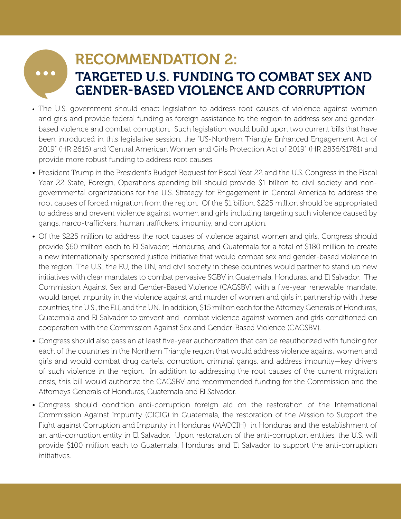# $\bullet\bullet\bullet$

### RECOMMENDATION 2: TARGETED U.S. FUNDING TO COMBAT SEX AND GENDER-BASED VIOLENCE AND CORRUPTION

- The U.S. government should enact legislation to address root causes of violence against women and girls and provide federal funding as foreign assistance to the region to address sex and genderbased violence and combat corruption. Such legislation would build upon two current bills that have been introduced in this legislative session, the "US-Northern Triangle Enhanced Engagement Act of 2019" (HR 2615) and "Central American Women and Girls Protection Act of 2019" (HR 2836/S1781) and provide more robust funding to address root causes.
- President Trump in the President's Budget Request for Fiscal Year 22 and the U.S. Congress in the Fiscal Year 22 State, Foreign, Operations spending bill should provide \$1 billion to civil society and nongovernmental organizations for the U.S. Strategy for Engagement in Central America to address the root causes of forced migration from the region. Of the \$1 billion, \$225 million should be appropriated to address and prevent violence against women and girls including targeting such violence caused by gangs, narco-traffickers, human traffickers, impunity, and corruption.
- Of the \$225 million to address the root causes of violence against women and girls, Congress should provide \$60 million each to El Salvador, Honduras, and Guatemala for a total of \$180 million to create a new internationally sponsored justice initiative that would combat sex and gender-based violence in the region. The U.S., the EU, the UN, and civil society in these countries would partner to stand up new initiatives with clear mandates to combat pervasive SGBV in Guatemala, Honduras, and El Salvador. The Commission Against Sex and Gender-Based Violence (CAGSBV) with a five-year renewable mandate, would target impunity in the violence against and murder of women and girls in partnership with these countries, the U.S., the EU, and the UN. In addition, \$15 million each for the Attorney Generals of Honduras, Guatemala and El Salvador to prevent and combat violence against women and girls conditioned on cooperation with the Commission Against Sex and Gender-Based Violence (CAGSBV).
- Congress should also pass an at least five-year authorization that can be reauthorized with funding for each of the countries in the Northern Triangle region that would address violence against women and girls and would combat drug cartels, corruption, criminal gangs, and address impunity—key drivers of such violence in the region. In addition to addressing the root causes of the current migration crisis, this bill would authorize the CAGSBV and recommended funding for the Commission and the Attorneys Generals of Honduras, Guatemala and El Salvador.
- Congress should condition anti-corruption foreign aid on the restoration of the International Commission Against Impunity (CICIG) in Guatemala, the restoration of the Mission to Support the Fight against Corruption and Impunity in Honduras (MACCIH) in Honduras and the establishment of an anti-corruption entity in El Salvador. Upon restoration of the anti-corruption entities, the U.S. will provide \$100 million each to Guatemala, Honduras and El Salvador to support the anti-corruption initiatives.